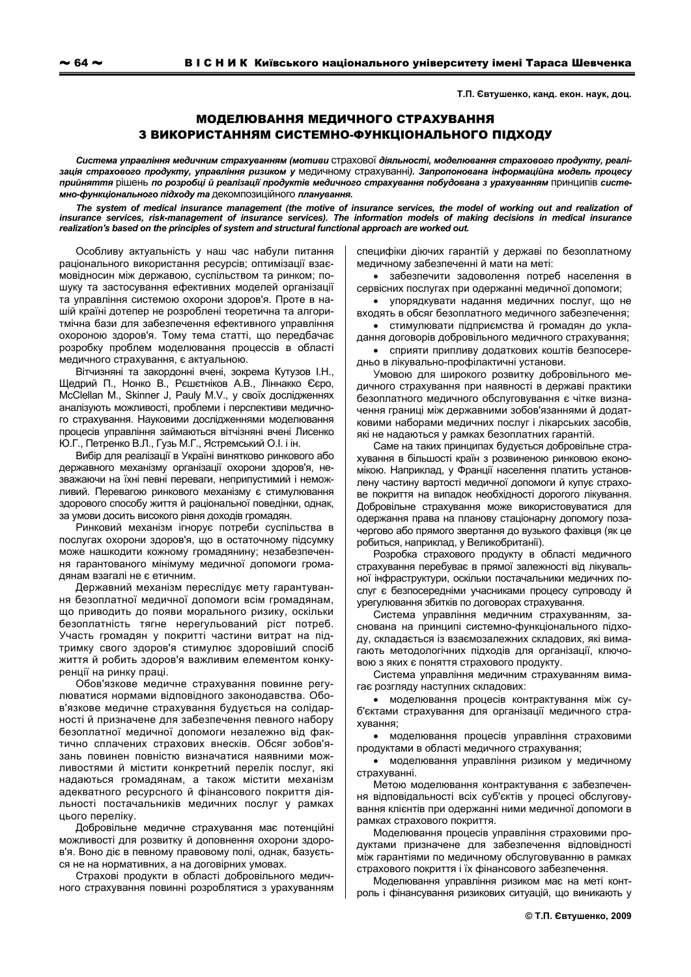Т.П. Євтушенко, канд. екон. наук, доц.

## МОДЕЛЮВАННЯ МЕДИЧНОГО СТРАХУВАННЯ З ВИКОРИСТАННЯМ СИСТЕМНО-ФУНКЦІОНАЛЬНОГО ПІДХОДУ

Система управління медичним страхуванням (мотиви страхової діяльності, моделювання страхового продукту. реалізація страхового продукту, управління ризиком у медичному страхуванні). Запропонована інформаційна модель процесу прийняття рішень по розробці й реалізації продуктів медичного страхування побудована з урахуванням принципів системно-функціонального підходу та декомпозиційного планування.

The system of medical insurance management (the motive of insurance services, the model of working out and realization of insurance services, risk-management of insurance services). The information models of making decisions in medical insurance realization's based on the principles of system and structural functional approach are worked out.

Особливу актуальність у наш час набули питання раціонального використання ресурсів; оптимізації взаємовідносин між державою, суспільством та ринком; пошуку та застосування ефективних моделей організації та управління системою охорони здоров'я. Проте в нашій країні дотепер не розроблені теоретична та алгоритмічна бази для забезпечення ефективного управління охороною здоров'я. Тому тема статті, що передбачає розробку проблем моделювання процессів в області медичного страхування, є актуальною.

Вітчизняні та закордонні вчені. зокрема Кутузов І.Н.. Щедрий П., Нонко В., Рєшєтніков А.В., Ліннакко Єєро, McClellan M., Skinner J, Pauly M.V., у своїх дослідженнях аналізують можливості, проблеми і перспективи медичного страхування. Науковими дослідженнями моделювання процесів управління займаються вітчізняні вчені Лисенко Ю.Г., Петренко В.Л., Гузь М.Г., Ястремський О.І. і ін.

Вибір для реалізації в Україні винятково ринкового або державного механізму організації охорони здоров'я, незважаючи на їхні певні переваги, неприпустимий і неможливий. Перевагою ринкового механізму є стимулювання здорового способу життя й раціональної поведінки, однак, за умови досить високого рівня доходів громадян.

Ринковий механізм ігнорує потреби суспільства в послугах охорони здоров'я, що в остаточному підсумку може нашкодити кожному громадянину; незабезпечення гарантованого мінімуму медичної допомоги громадянам взагалі не є етичним.

Державний механізм переслідує мету гарантування безоплатної медичної допомоги всім громадянам. що приводить до появи морального ризику, оскільки безоплатність тягне нерегульований ріст потреб. Участь громадян у покритті частини витрат на підтримку свого здоров'я стимулює здоровіший спосіб життя й робить здоров'я важливим елементом конкуренції на ринку праці.

Обов'язкове медичне страхування повинне регулюватися нормами відповідного законодавства. Обов'язкове медичне страхування будується на солідарності й призначене для забезпечення певного набору безоплатної медичної допомоги незалежно від фактично сплачених страхових внесків. Обсяг зобов'язань повинен повністю визначатися наявними можливостями й містити конкретний перелік послуг, які надаються громадянам, а також містити механізм адекватного ресурсного й фінансового покриття діяльності постачальників медичних послуг у рамках цього переліку.

Добровільне медичне страхування має потенційні можливості для розвитку й доповнення охорони здоров'я. Воно діє в певному правовому полі, однак, базується не на нормативних, а на договірних умовах.

Страхові продукти в області добровільного медичного страхування повинні розроблятися з урахуванням специфіки діючих гарантій у державі по безоплатному медичному забезпеченні й мати на меті:

• забезпечити задоволення потреб населення в сервісних послугах при одержанні медичної допомоги;

• упорядкувати надання медичних послуг, що не входять в обсяг безоплатного медичного забезпечення:

• стимулювати підприємства й громадян до укладання договорів добровільного медичного страхування:

• сприяти припливу додаткових коштів безпосередньо в лікувально-профілактичні установи.

Умовою для широкого розвитку добровільного медичного страхування при наявності в державі практики безоплатного медичного обслуговування є чітке визначення границі між державними зобов'язаннями й додатковими наборами медичних послуг і лікарських засобів, які не надаються у рамках безоплатних гарантій.

Саме на таких принципах будується добровільне страхування в більшості країн з розвиненою ринковою економікою. Наприклад, у Франції населення платить установлену частину вартості медичної допомоги й купує страхове покриття на випадок необхідності дорогого лікування. Добровільне страхування може використовуватися для одержання права на планову стаціонарну допомогу позачергово або прямого звертання до вузького фахівця (як це робиться, наприклад, у Великобританії).

Розробка страхового продукту в області медичного страхування перебуває в прямої залежності від лікувальної інфраструктури, оскільки постачальники медичних послуг є безпосередніми учасниками процесу супроводу й урегулювання збитків по договорах страхування.

Система управління медичним страхуванням, заснована на принципі системно-функціонального підходу, складається із взаємозалежних складових, які вимагають методологічних підходів для організації, ключовою з яких є поняття страхового продукту.

Система управління медичним страхуванням вимагає розгляду наступних складових:

• моделювання процесів контрактування між суб'єктами страхування для організації медичного страхування:

• моделювання процесів управління страховими продуктами в області медичного страхування;

• моделювання управління ризиком у медичному страхуванні

Метою моделювання контрактування є забезпечення відповідальності всіх суб'єктів у процесі обслуговування клієнтів при одержанні ними медичної допомоги в рамках страхового покриття.

Моделювання процесів управління страховими продуктами призначене для забезпечення відповідності між гарантіями по медичному обслуговуванню в рамках страхового покриття і їх фінансового забезпечення.

Моделювання управління ризиком має на меті контроль і фінансування ризикових ситуацій, що виникають у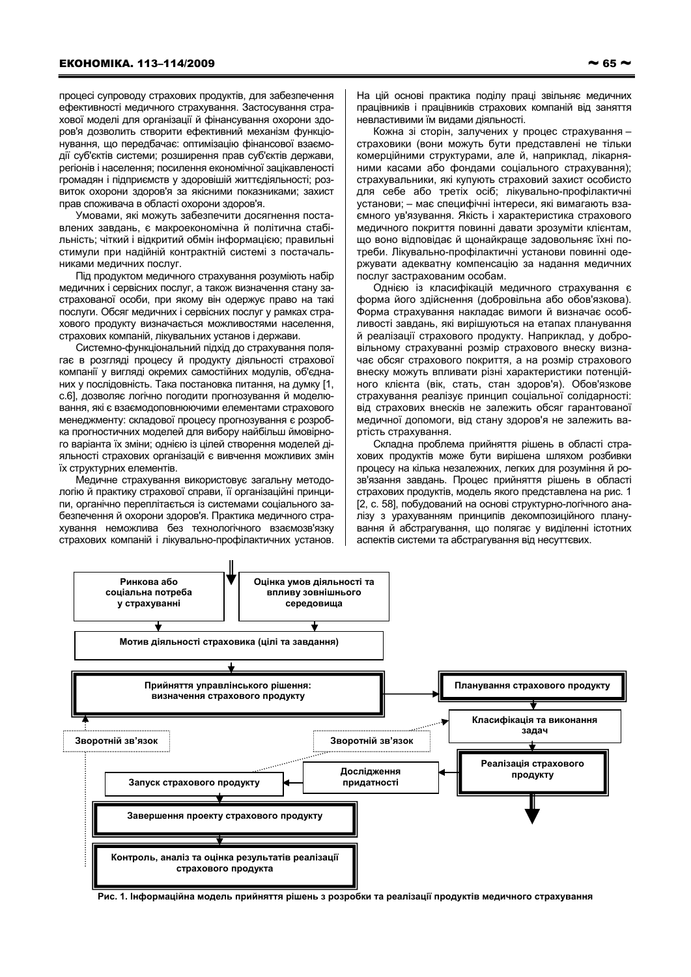процесі супроводу страхових продуктів, для забезпечення ефективності медичного страхування. Застосування страхової моделі для організації й фінансування охорони здоров'я дозволить створити ефективний механізм функціонування. що передбачає: оптимізацію фінансової взаємодії суб'єктів системи; розширення прав суб'єктів держави, регіонів і населення; посилення економічної зацікавленості громадян і підприємств у здоровішій життєдіяльності; розвиток охорони здоров'я за якісними показниками; захист прав споживача в області охорони здоров'я.

Умовами, які можуть забезпечити досягнення поставлених завдань, є макроекономічна й політична стабільність; чіткий і відкритий обмін інформацією; правильні стимули при надійній контрактній системі з постачальниками медичних послуг.

Під продуктом медичного страхування розуміють набір медичних і сервісних послуг, а також визначення стану застрахованої особи, при якому він одержує право на такі послуги. Обсяг медичних і сервісних послуг у рамках страхового продукту визначається можливостями населення, страхових компаній, лікувальних установ і держави.

Системно-функціональний підхід до страхування полягає в розгляді процесу й продукту діяльності страхової компанії у вигляді окремих самостійних модулів, об'єднаних у послідовність. Така постановка питання, на думку [1, с.6], дозволяє логічно погодити прогнозування й моделювання, які є взаємодоповнюючими елементами страхового менеджменту: складової процесу прогнозування є розробка прогностичних моделей для вибору найбільш ймовірного варіанта їх зміни; однією із цілей створення моделей діяльності страхових організацій є вивчення можливих змін їх структурних елементів.

Медичне страхування використовує загальну методологію й практику страхової справи, її організаційні принципи, органічно переплітається із системами соціального забезпечення й охорони здоров'я. Практика медичного страхування неможлива без технологічного взаємозв'язку страхових компаній і лікувально-профілактичних установ.

Кожна зі сторін, залучених у процес страхування страховики (вони можуть бути представлені не тільки комерційними структурами, але й, наприклад, лікарняними касами або фондами соціального страхування); страхувальники, які купують страховий захист особисто для себе або третіх осіб; лікувально-профілактичні установи; - має специфічні інтереси, які вимагають взаемного ув'язування. Якість і характеристика страхового медичного покриття повинні давати зрозуміти клієнтам, що воно відповідає й щонайкраще задовольняє їхні потреби. Лікувально-профілактичні установи повинні одержувати адекватну компенсацію за надання медичних послуг застрахованим особам.

Однією із класифікацій медичного страхування є форма його здійснення (добровільна або обов'язкова). Форма страхування накладає вимоги й визначає особливості завдань, які вирішуються на етапах планування й реалізації страхового продукту. Наприклад, у добровільному страхуванні розмір страхового внеску визначає обсяг страхового покриття, а на розмір страхового внеску можуть впливати різні характеристики потенційного клієнта (вік, стать, стан здоров'я). Обов'язкове страхування реалізує принцип соціальної солідарності: від страхових внесків не залежить обсяг гарантованої медичної допомоги, від стану здоров'я не залежить вартість страхування.

Складна проблема прийняття рішень в області страхових продуктів може бути вирішена шляхом розбивки процесу на кілька незалежних, легких для розуміння й розв'язання завдань. Процес прийняття рішень в області страхових продуктів, модель якого представлена на рис. 1 [2, с. 58], побудований на основі структурно-логічного аналізу з урахуванням принципів декомпозиційного планування й абстрагування, що полягає у виділенні істотних аспектів системи та абстрагування від несуттєвих.



Рис. 1. Інформаційна модель прийняття рішень з розробки та реалізації продуктів медичного страхування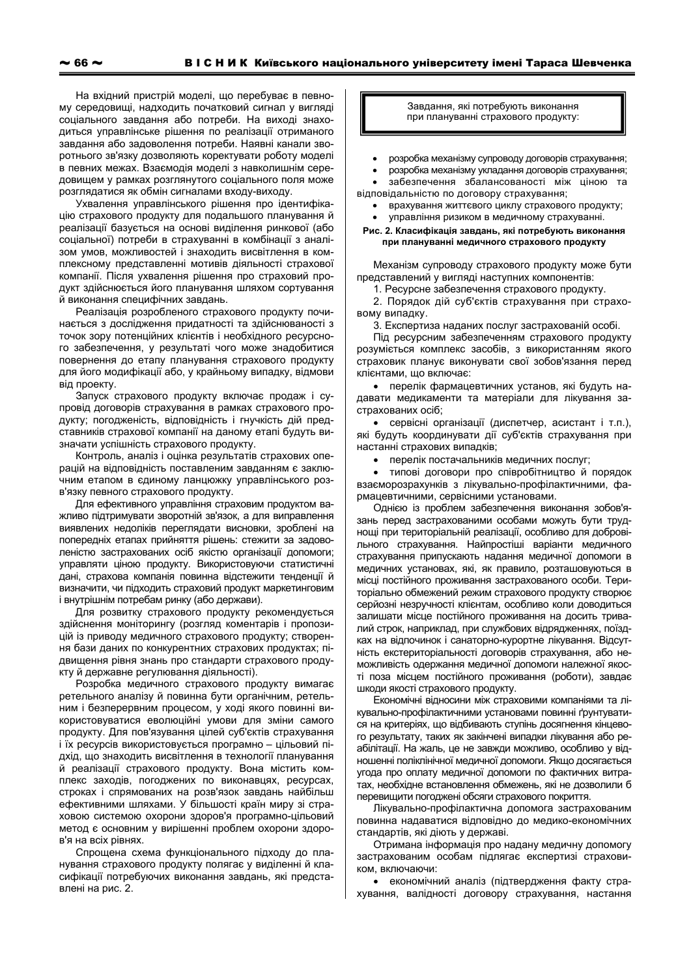розглядатися як обмін сигналами входу-виходу. Ухвалення управлінського рішення про ідентифікацію страхового продукту для подальшого планування й реалізації базується на основі виділення ринкової (або соціальної) потреби в страхуванні в комбінації з аналізом умов, можливостей і знаходить висвітлення в комплексному представленні мотивів діяльності страхової компанії. Після ухвалення рішення про страховий продукт здійснюється його планування шляхом сортування й виконання специфічних завдань.

довищем у рамках розглянутого соціального поля може

Реалізація розробленого страхового продукту починається з дослідження придатності та здійснюваності з точок зору потенційних клієнтів і необхідного ресурсного забезпечення, у результаті чого може знадобитися повернення до етапу планування страхового продукту для його модифікації або, у крайньому випадку, відмови віл проекту.

Запуск страхового продукту включає продаж і супровід договорів страхування в рамках страхового продукту; погодженість, відповідність і гнучкість дій представників страхової компанії на даному етапі будуть визначати успішність страхового продукту.

Контроль, аналіз і оцінка результатів страхових операцій на відповідність поставленим завданням є заключним етапом в єдиному ланцюжку управлінського розв'язку певного страхового продукту.

Для ефективного управління страховим продуктом важливо підтримувати зворотній зв'язок, а для виправлення виявлених недоліків переглядати висновки, зроблені на попередніх етапах прийняття рішень: стежити за задоволеністю застрахованих осіб якістю організації допомоги; управляти ціною продукту. Використовуючи статистичні дані, страхова компанія повинна відстежити тенденції й визначити, чи підходить страховий продукт маркетинговим і внутрішнім потребам ринку (або держави).

Для розвитку страхового продукту рекомендується здійснення моніторингу (розгляд коментарів і пропозицій із приводу медичного страхового продукту; створення бази даних по конкурентних страхових продуктах; підвищення рівня знань про стандарти страхового продукту й державне регулювання діяльності).

Розробка медичного страхового продукту вимагає ретельного аналізу й повинна бути органічним, ретельним і безперервним процесом, у ході якого повинні використовуватися еволюційні умови для зміни самого продукту. Для пов'язування цілей суб'єктів страхування і їх ресурсів використовується програмно - цільовий підхід, що знаходить висвітлення в технології планування й реалізації страхового продукту. Вона містить комплекс заходів, погоджених по виконавцях, ресурсах, строках і спрямованих на розв'язок завдань найбільш ефективними шляхами. У більшості країн миру зі страховою системою охорони здоров'я програмно-цільовий метод є основним у вирішенні проблем охорони здоров'я на всіх рівнях.

Спрощена схема функціонального підходу до планування страхового продукту полягає у виділенні й класифікації потребуючих виконання завдань, які представлені на рис. 2.

## Завдання, які потребують виконання при плануванні страхового продукту:

розробка механізму супроводу договорів страхування;

розробка механізму укладання договорів страхування;  $\bullet$ 

забезпечення збалансованості між ціною та відповідальністю по договору страхування:

врахування життєвого циклу страхового продукту;

управління ризиком в медичному страхуванні.

## Рис. 2. Класифікація завдань, які потребують виконання при плануванні медичного страхового продукту

Механізм супроводу страхового продукту може бути представлений у вигляді наступних компонентів:

1. Ресурсне забезпечення страхового продукту.

2. Порядок дій суб'єктів страхування при страховому випалку.

3. Експертиза наданих послуг застрахованій особі.

Під ресурсним забезпеченням страхового продукту розуміється комплекс засобів, з використанням якого страховик планує виконувати свої зобов'язання перед клієнтами, що включає:

• перелік фармацевтичних установ, які будуть надавати медикаменти та матеріали для лікування застрахованих осіб;

• сервісні організації (диспетчер, асистант і т.п.), які будуть координувати дії суб'єктів страхування при настанні страхових випадків;

• перелік постачальників медичних послуг:

• типові договори про співробітництво й порядок взаєморозрахунків з лікувально-профілактичними, фармацевтичними, сервісними установами.

Однією із проблем забезпечення виконання зобов'язань перед застрахованими особами можуть бути труднощі при територіальній реалізації, особливо для добровільного страхування. Найпростіші варіанти медичного страхування припускають надання медичної допомоги в медичних установах, які, як правило, розташовуються в місці постійного проживання застрахованого особи. Територіально обмежений режим страхового продукту створює серйозні незручності клієнтам, особливо коли доводиться залишати місце постійного проживання на досить тривалий строк, наприклад, при службових відрядженнях, поїздках на відпочинок і санаторно-курортне лікування. Відсутність екстериторіальності договорів страхування, або неможливість одержання медичної допомоги належної якості поза місцем постійного проживання (роботи), завдає шкоди якості страхового продукту.

Економічні відносини між страховими компаніями та лікувально-профілактичними установами повинні ґрунтуватися на критеріях, що відбивають ступінь досягнення кінцевого результату, таких як закінчені випадки лікування або реабілітації. На жаль, це не завжди можливо, особливо у відношенні поліклінічної медичної допомоги. Якщо досягається угода про оплату медичної допомоги по фактичних витратах, необхідне встановлення обмежень, які не дозволили б перевищити погоджені обсяги страхового покриття.

Лікувально-профілактична допомога застрахованим повинна надаватися відповідно до медико-економічних стандартів, які діють у державі.

Отримана інформація про надану медичну допомогу застрахованим особам підлягає експертизі страховиком. включаючи:

• економічний аналіз (підтвердження факту страхування, валідності договору страхування, настання